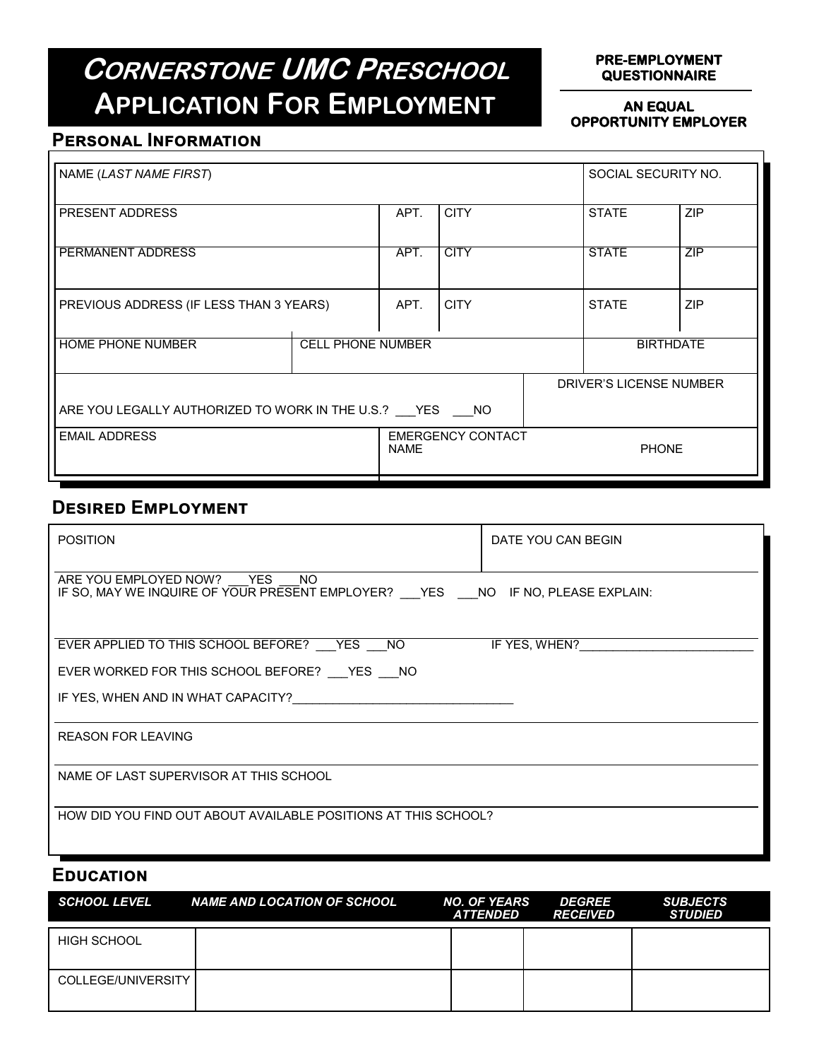# **CORNERSTONE UMC PRESCHOOL APPLICATION FOR EMPLOYMENT**

#### **PRE-EMPLOYMENT QUESTIONNAIRE**

#### **AN EQUAL OPPORTUNITY EMPLOYER**

### **Personal Information**

| NAME (LAST NAME FIRST)                                 |                          |                          |             |                  | SOCIAL SECURITY NO.     |            |
|--------------------------------------------------------|--------------------------|--------------------------|-------------|------------------|-------------------------|------------|
| <b>PRESENT ADDRESS</b>                                 |                          | APT.                     | <b>CITY</b> |                  | <b>STATE</b>            | ZIP        |
| <b>PERMANENT ADDRESS</b>                               |                          | APT.                     | <b>CITY</b> |                  | <b>STATE</b>            | ZIP        |
| PREVIOUS ADDRESS (IF LESS THAN 3 YEARS)                |                          | APT.                     | <b>CITY</b> |                  | <b>STATE</b>            | <b>ZIP</b> |
| <b>HOME PHONE NUMBER</b>                               | <b>CELL PHONE NUMBER</b> |                          |             | <b>BIRTHDATE</b> |                         |            |
|                                                        |                          |                          |             |                  | DRIVER'S LICENSE NUMBER |            |
| ARE YOU LEGALLY AUTHORIZED TO WORK IN THE U.S.? YES NO |                          |                          |             |                  |                         |            |
| <b>EMAIL ADDRESS</b>                                   | <b>NAME</b>              | <b>EMERGENCY CONTACT</b> |             | <b>PHONE</b>     |                         |            |

## **Desired Employment**

| <b>POSITION</b>                                                                                                          | DATE YOU CAN BEGIN |  |  |  |  |
|--------------------------------------------------------------------------------------------------------------------------|--------------------|--|--|--|--|
| ARE YOU EMPLOYED NOW? YES<br>NO.<br>IF SO, MAY WE INQUIRE OF YOUR PRESENT EMPLOYER? __ YES ___ NO IF NO, PLEASE EXPLAIN: |                    |  |  |  |  |
| EVER APPLIED TO THIS SCHOOL BEFORE? YES NO                                                                               | IF YES, WHEN?      |  |  |  |  |
| EVER WORKED FOR THIS SCHOOL BEFORE? VES MO                                                                               |                    |  |  |  |  |
| IF YES, WHEN AND IN WHAT CAPACITY?                                                                                       |                    |  |  |  |  |
| <b>REASON FOR LEAVING</b>                                                                                                |                    |  |  |  |  |
| NAME OF LAST SUPERVISOR AT THIS SCHOOL                                                                                   |                    |  |  |  |  |
| HOW DID YOU FIND OUT ABOUT AVAILABLE POSITIONS AT THIS SCHOOL?                                                           |                    |  |  |  |  |

### **Education**

| <b>SCHOOL LEVEL</b> | <b>NAME AND LOCATION OF SCHOOL</b> | <b>NO. OF YEARS</b><br><b>ATTENDED</b> | <b>DEGREE</b><br><b>RECEIVED</b> | <b>SUBJECTS</b><br><b>STUDIED</b> |
|---------------------|------------------------------------|----------------------------------------|----------------------------------|-----------------------------------|
| <b>HIGH SCHOOL</b>  |                                    |                                        |                                  |                                   |
| COLLEGE/UNIVERSITY  |                                    |                                        |                                  |                                   |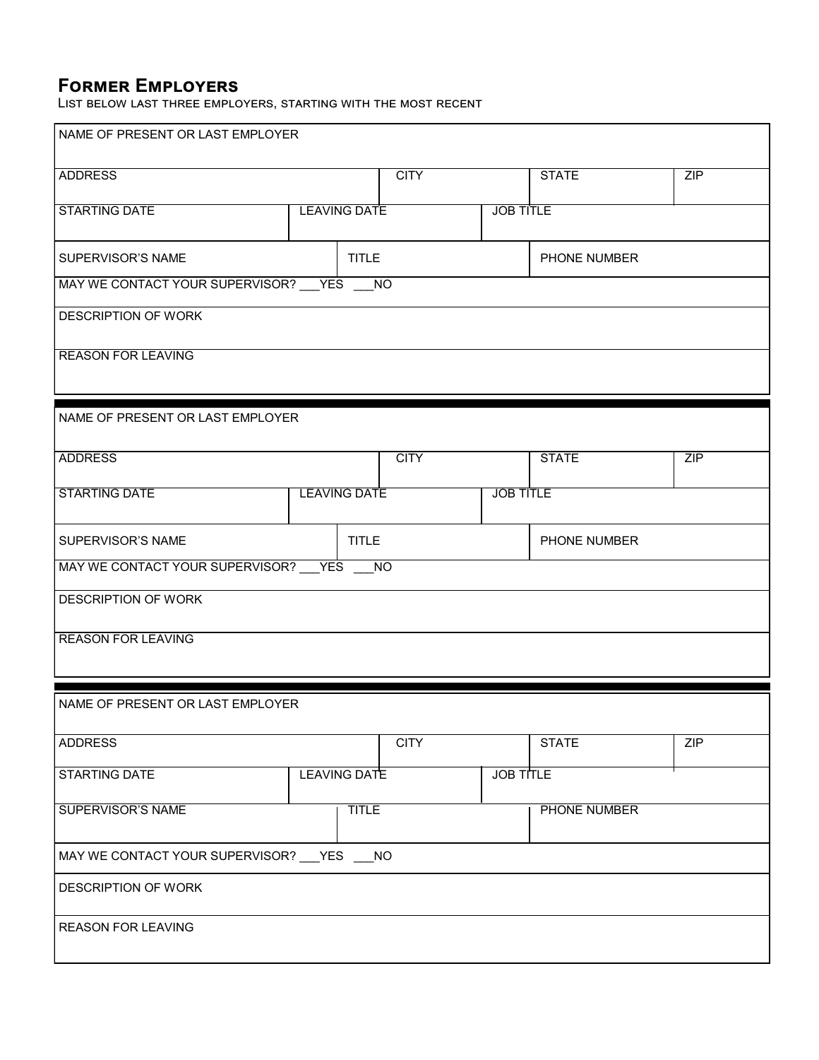## **Former Employers**

List below last three employers, starting with the most recent

| NAME OF PRESENT OR LAST EMPLOYER              |                     |                  |                  |              |     |  |
|-----------------------------------------------|---------------------|------------------|------------------|--------------|-----|--|
| <b>ADDRESS</b>                                |                     | <b>CITY</b>      |                  | <b>STATE</b> | ZIP |  |
| <b>STARTING DATE</b>                          | <b>LEAVING DATE</b> | <b>JOB TITLE</b> |                  |              |     |  |
| SUPERVISOR'S NAME                             |                     | <b>TITLE</b>     |                  | PHONE NUMBER |     |  |
| MAY WE CONTACT YOUR SUPERVISOR? YES           |                     | <b>NO</b>        |                  |              |     |  |
| <b>DESCRIPTION OF WORK</b>                    |                     |                  |                  |              |     |  |
| <b>REASON FOR LEAVING</b>                     |                     |                  |                  |              |     |  |
| NAME OF PRESENT OR LAST EMPLOYER              |                     |                  |                  |              |     |  |
| <b>ADDRESS</b>                                |                     | <b>CITY</b>      |                  | <b>STATE</b> | ZIP |  |
| <b>STARTING DATE</b>                          | <b>LEAVING DATE</b> |                  | <b>JOB TITLE</b> |              |     |  |
| SUPERVISOR'S NAME<br><b>TITLE</b>             |                     |                  |                  | PHONE NUMBER |     |  |
| MAY WE CONTACT YOUR SUPERVISOR? __ YES ___ NO |                     |                  |                  |              |     |  |
| <b>DESCRIPTION OF WORK</b>                    |                     |                  |                  |              |     |  |
| <b>REASON FOR LEAVING</b>                     |                     |                  |                  |              |     |  |
| NAME OF PRESENT OR LAST EMPLOYER              |                     |                  |                  |              |     |  |
| <b>ADDRESS</b>                                |                     | <b>CITY</b>      |                  | <b>STATE</b> | ZIP |  |
| STARTING DATE                                 | <b>LEAVING DATE</b> |                  | <b>JOB TITLE</b> |              |     |  |
| <b>SUPERVISOR'S NAME</b>                      | <b>TITLE</b>        |                  |                  | PHONE NUMBER |     |  |
| MAY WE CONTACT YOUR SUPERVISOR? __ YES ___ NO |                     |                  |                  |              |     |  |
| <b>DESCRIPTION OF WORK</b>                    |                     |                  |                  |              |     |  |
| <b>REASON FOR LEAVING</b>                     |                     |                  |                  |              |     |  |